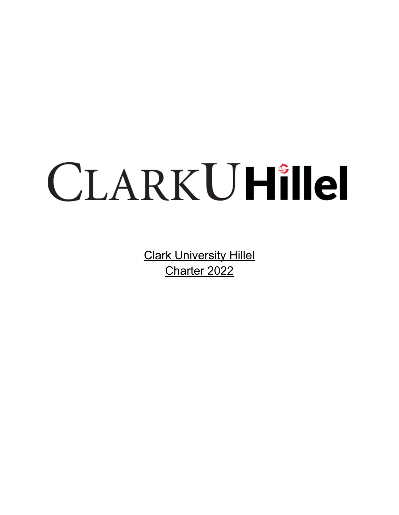# CLARKUHillel

**Clark University Hillel** Charter 2022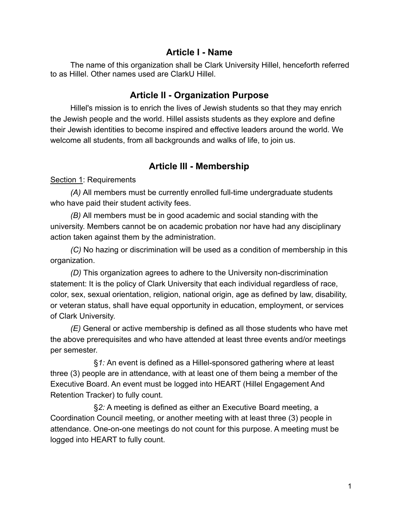## **Article I - Name**

The name of this organization shall be Clark University Hillel, henceforth referred to as Hillel. Other names used are ClarkU Hillel.

## **Article II - Organization Purpose**

Hillel's mission is to enrich the lives of Jewish students so that they may enrich the Jewish people and the world. Hillel assists students as they explore and define their Jewish identities to become inspired and effective leaders around the world. We welcome all students, from all backgrounds and walks of life, to join us.

# **Article III - Membership**

#### Section 1: Requirements

*(A)* All members must be currently enrolled full-time undergraduate students who have paid their student activity fees.

*(B)* All members must be in good academic and social standing with the university. Members cannot be on academic probation nor have had any disciplinary action taken against them by the administration.

*(C)* No hazing or discrimination will be used as a condition of membership in this organization.

*(D)* This organization agrees to adhere to the University non-discrimination statement: It is the policy of Clark University that each individual regardless of race, color, sex, sexual orientation, religion, national origin, age as defined by law, disability, or veteran status, shall have equal opportunity in education, employment, or services of Clark University.

*(E)* General or active membership is defined as all those students who have met the above prerequisites and who have attended at least three events and/or meetings per semester.

§*1:* An event is defined as a Hillel-sponsored gathering where at least three (3) people are in attendance, with at least one of them being a member of the Executive Board. An event must be logged into HEART (Hillel Engagement And Retention Tracker) to fully count.

§*2:* A meeting is defined as either an Executive Board meeting, a Coordination Council meeting, or another meeting with at least three (3) people in attendance. One-on-one meetings do not count for this purpose. A meeting must be logged into HEART to fully count.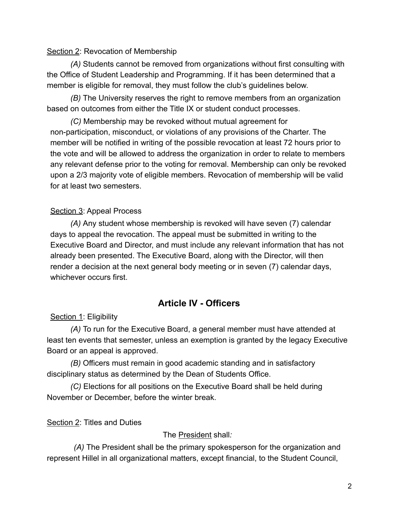#### Section 2: Revocation of Membership

*(A)* Students cannot be removed from organizations without first consulting with the Office of Student Leadership and Programming. If it has been determined that a member is eligible for removal, they must follow the club's guidelines below.

*(B)* The University reserves the right to remove members from an organization based on outcomes from either the Title IX or student conduct processes.

*(C)* Membership may be revoked without mutual agreement for non-participation, misconduct, or violations of any provisions of the Charter. The member will be notified in writing of the possible revocation at least 72 hours prior to the vote and will be allowed to address the organization in order to relate to members any relevant defense prior to the voting for removal. Membership can only be revoked upon a 2/3 majority vote of eligible members. Revocation of membership will be valid for at least two semesters.

## Section 3: Appeal Process

*(A)* Any student whose membership is revoked will have seven (7) calendar days to appeal the revocation. The appeal must be submitted in writing to the Executive Board and Director, and must include any relevant information that has not already been presented. The Executive Board, along with the Director, will then render a decision at the next general body meeting or in seven (7) calendar days, whichever occurs first.

# **Article IV - Officers**

#### Section 1: Eligibility

*(A)* To run for the Executive Board, a general member must have attended at least ten events that semester, unless an exemption is granted by the legacy Executive Board or an appeal is approved.

*(B)* Officers must remain in good academic standing and in satisfactory disciplinary status as determined by the Dean of Students Office.

*(C)* Elections for all positions on the Executive Board shall be held during November or December, before the winter break.

#### Section 2: Titles and Duties

The President shall*:*

*(A)* The President shall be the primary spokesperson for the organization and represent Hillel in all organizational matters, except financial, to the Student Council,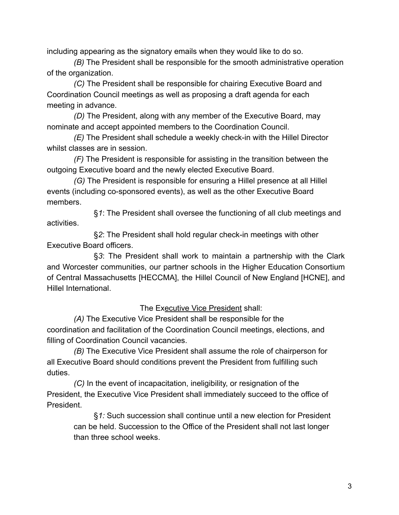including appearing as the signatory emails when they would like to do so.

*(B)* The President shall be responsible for the smooth administrative operation of the organization.

*(C)* The President shall be responsible for chairing Executive Board and Coordination Council meetings as well as proposing a draft agenda for each meeting in advance.

*(D)* The President, along with any member of the Executive Board, may nominate and accept appointed members to the Coordination Council.

*(E)* The President shall schedule a weekly check-in with the Hillel Director whilst classes are in session.

*(F)* The President is responsible for assisting in the transition between the outgoing Executive board and the newly elected Executive Board.

*(G)* The President is responsible for ensuring a Hillel presence at all Hillel events (including co-sponsored events), as well as the other Executive Board members.

§*1*: The President shall oversee the functioning of all club meetings and activities.

§*2*: The President shall hold regular check-in meetings with other Executive Board officers.

§*3*: The President shall work to maintain a partnership with the Clark and Worcester communities, our partner schools in the Higher Education Consortium of Central Massachusetts [HECCMA], the Hillel Council of New England [HCNE], and Hillel International.

The Executive Vice President shall:

*(A)* The Executive Vice President shall be responsible for the coordination and facilitation of the Coordination Council meetings, elections, and filling of Coordination Council vacancies.

*(B)* The Executive Vice President shall assume the role of chairperson for all Executive Board should conditions prevent the President from fulfilling such duties.

*(C)* In the event of incapacitation, ineligibility, or resignation of the President, the Executive Vice President shall immediately succeed to the office of President.

§*1:* Such succession shall continue until a new election for President can be held. Succession to the Office of the President shall not last longer than three school weeks.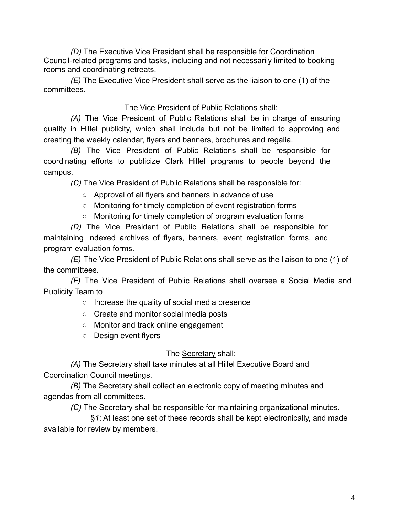*(D)* The Executive Vice President shall be responsible for Coordination Council-related programs and tasks, including and not necessarily limited to booking rooms and coordinating retreats.

*(E)* The Executive Vice President shall serve as the liaison to one (1) of the committees.

## The Vice President of Public Relations shall:

*(A)* The Vice President of Public Relations shall be in charge of ensuring quality in Hillel publicity, which shall include but not be limited to approving and creating the weekly calendar, flyers and banners, brochures and regalia.

*(B)* The Vice President of Public Relations shall be responsible for coordinating efforts to publicize Clark Hillel programs to people beyond the campus.

*(C)* The Vice President of Public Relations shall be responsible for:

- Approval of all flyers and banners in advance of use
- Monitoring for timely completion of event registration forms
- Monitoring for timely completion of program evaluation forms

*(D)* The Vice President of Public Relations shall be responsible for maintaining indexed archives of flyers, banners, event registration forms, and program evaluation forms.

*(E)* The Vice President of Public Relations shall serve as the liaison to one (1) of the committees.

*(F)* The Vice President of Public Relations shall oversee a Social Media and Publicity Team to

○ Increase the quality of social media presence

- Create and monitor social media posts
- Monitor and track online engagement
- Design event flyers

The Secretary shall:

*(A)* The Secretary shall take minutes at all Hillel Executive Board and Coordination Council meetings.

*(B)* The Secretary shall collect an electronic copy of meeting minutes and agendas from all committees.

*(C)* The Secretary shall be responsible for maintaining organizational minutes.

§*1*: At least one set of these records shall be kept electronically, and made available for review by members.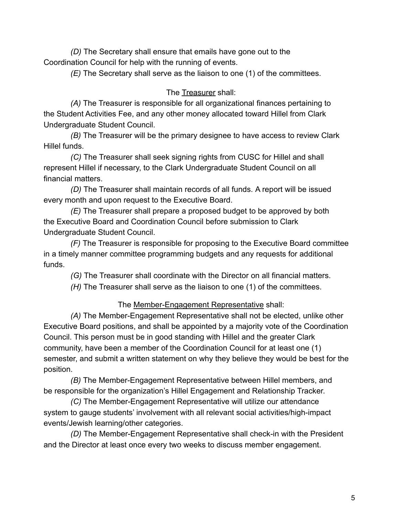*(D)* The Secretary shall ensure that emails have gone out to the Coordination Council for help with the running of events.

*(E)* The Secretary shall serve as the liaison to one (1) of the committees.

# The Treasurer shall:

*(A)* The Treasurer is responsible for all organizational finances pertaining to the Student Activities Fee, and any other money allocated toward Hillel from Clark Undergraduate Student Council.

*(B)* The Treasurer will be the primary designee to have access to review Clark Hillel funds.

*(C)* The Treasurer shall seek signing rights from CUSC for Hillel and shall represent Hillel if necessary, to the Clark Undergraduate Student Council on all financial matters.

*(D)* The Treasurer shall maintain records of all funds. A report will be issued every month and upon request to the Executive Board.

*(E)* The Treasurer shall prepare a proposed budget to be approved by both the Executive Board and Coordination Council before submission to Clark Undergraduate Student Council.

*(F)* The Treasurer is responsible for proposing to the Executive Board committee in a timely manner committee programming budgets and any requests for additional funds.

*(G)* The Treasurer shall coordinate with the Director on all financial matters.

*(H)* The Treasurer shall serve as the liaison to one (1) of the committees.

# The Member-Engagement Representative shall:

*(A)* The Member-Engagement Representative shall not be elected, unlike other Executive Board positions, and shall be appointed by a majority vote of the Coordination Council. This person must be in good standing with Hillel and the greater Clark community, have been a member of the Coordination Council for at least one (1) semester, and submit a written statement on why they believe they would be best for the position.

*(B)* The Member-Engagement Representative between Hillel members, and be responsible for the organization's Hillel Engagement and Relationship Tracker.

*(C)* The Member-Engagement Representative will utilize our attendance system to gauge students' involvement with all relevant social activities/high-impact events/Jewish learning/other categories.

*(D)* The Member-Engagement Representative shall check-in with the President and the Director at least once every two weeks to discuss member engagement.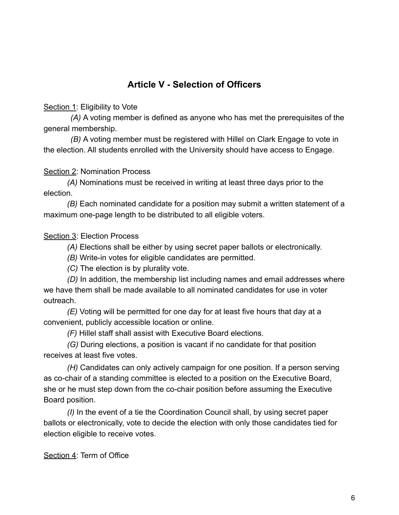# **Article V - Selection of Officers**

Section 1: Eligibility to Vote

*(A)* A voting member is defined as anyone who has met the prerequisites of the general membership.

*(B)* A voting member must be registered with Hillel on Clark Engage to vote in the election. All students enrolled with the University should have access to Engage.

Section 2: Nomination Process

*(A)* Nominations must be received in writing at least three days prior to the election.

*(B)* Each nominated candidate for a position may submit a written statement of a maximum one-page length to be distributed to all eligible voters.

#### Section 3: Election Process

*(A)* Elections shall be either by using secret paper ballots or electronically.

*(B)* Write-in votes for eligible candidates are permitted.

*(C)* The election is by plurality vote.

*(D)* In addition, the membership list including names and email addresses where we have them shall be made available to all nominated candidates for use in voter outreach.

*(E)* Voting will be permitted for one day for at least five hours that day at a convenient, publicly accessible location or online.

*(F)* Hillel staff shall assist with Executive Board elections.

*(G)* During elections, a position is vacant if no candidate for that position receives at least five votes.

*(H)* Candidates can only actively campaign for one position. If a person serving as co-chair of a standing committee is elected to a position on the Executive Board, she or he must step down from the co-chair position before assuming the Executive Board position.

*(I)* In the event of a tie the Coordination Council shall, by using secret paper ballots or electronically, vote to decide the election with only those candidates tied for election eligible to receive votes.

Section 4: Term of Office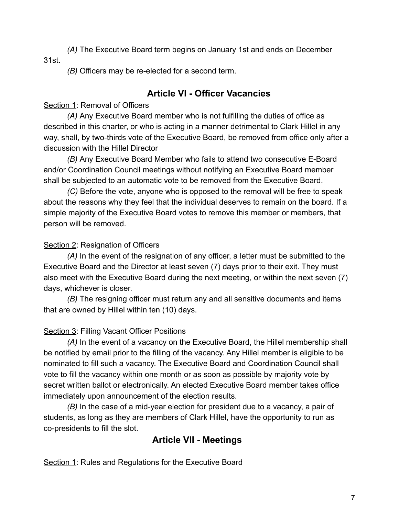*(A)* The Executive Board term begins on January 1st and ends on December 31st.

*(B)* Officers may be re-elected for a second term.

## **Article VI - Officer Vacancies**

#### Section 1: Removal of Officers

*(A)* Any Executive Board member who is not fulfilling the duties of office as described in this charter, or who is acting in a manner detrimental to Clark Hillel in any way, shall, by two-thirds vote of the Executive Board, be removed from office only after a discussion with the Hillel Director

*(B)* Any Executive Board Member who fails to attend two consecutive E-Board and/or Coordination Council meetings without notifying an Executive Board member shall be subjected to an automatic vote to be removed from the Executive Board.

*(C)* Before the vote, anyone who is opposed to the removal will be free to speak about the reasons why they feel that the individual deserves to remain on the board. If a simple majority of the Executive Board votes to remove this member or members, that person will be removed.

#### Section 2: Resignation of Officers

*(A)* In the event of the resignation of any officer, a letter must be submitted to the Executive Board and the Director at least seven (7) days prior to their exit. They must also meet with the Executive Board during the next meeting, or within the next seven (7) days, whichever is closer.

*(B)* The resigning officer must return any and all sensitive documents and items that are owned by Hillel within ten (10) days.

#### Section 3: Filling Vacant Officer Positions

*(A)* In the event of a vacancy on the Executive Board, the Hillel membership shall be notified by email prior to the filling of the vacancy. Any Hillel member is eligible to be nominated to fill such a vacancy. The Executive Board and Coordination Council shall vote to fill the vacancy within one month or as soon as possible by majority vote by secret written ballot or electronically. An elected Executive Board member takes office immediately upon announcement of the election results.

*(B)* In the case of a mid-year election for president due to a vacancy, a pair of students, as long as they are members of Clark Hillel, have the opportunity to run as co-presidents to fill the slot.

# **Article VII - Meetings**

Section 1: Rules and Regulations for the Executive Board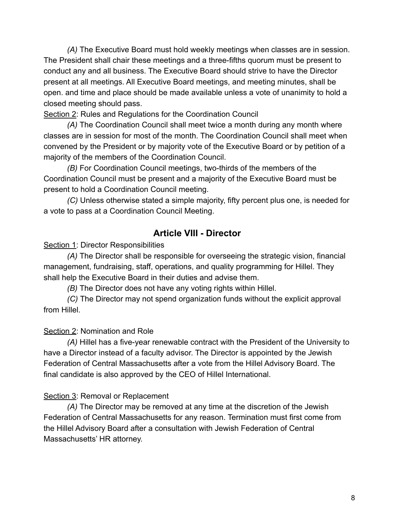*(A)* The Executive Board must hold weekly meetings when classes are in session. The President shall chair these meetings and a three-fifths quorum must be present to conduct any and all business. The Executive Board should strive to have the Director present at all meetings. All Executive Board meetings, and meeting minutes, shall be open. and time and place should be made available unless a vote of unanimity to hold a closed meeting should pass.

Section 2: Rules and Regulations for the Coordination Council

*(A)* The Coordination Council shall meet twice a month during any month where classes are in session for most of the month. The Coordination Council shall meet when convened by the President or by majority vote of the Executive Board or by petition of a majority of the members of the Coordination Council.

*(B)* For Coordination Council meetings, two-thirds of the members of the Coordination Council must be present and a majority of the Executive Board must be present to hold a Coordination Council meeting.

*(C)* Unless otherwise stated a simple majority, fifty percent plus one, is needed for a vote to pass at a Coordination Council Meeting.

# **Article VIII - Director**

Section 1: Director Responsibilities

*(A)* The Director shall be responsible for overseeing the strategic vision, financial management, fundraising, staff, operations, and quality programming for Hillel. They shall help the Executive Board in their duties and advise them.

*(B)* The Director does not have any voting rights within Hillel.

*(C)* The Director may not spend organization funds without the explicit approval from Hillel.

#### Section 2: Nomination and Role

*(A)* Hillel has a five-year renewable contract with the President of the University to have a Director instead of a faculty advisor. The Director is appointed by the Jewish Federation of Central Massachusetts after a vote from the Hillel Advisory Board. The final candidate is also approved by the CEO of Hillel International.

#### Section 3: Removal or Replacement

*(A)* The Director may be removed at any time at the discretion of the Jewish Federation of Central Massachusetts for any reason. Termination must first come from the Hillel Advisory Board after a consultation with Jewish Federation of Central Massachusetts' HR attorney.